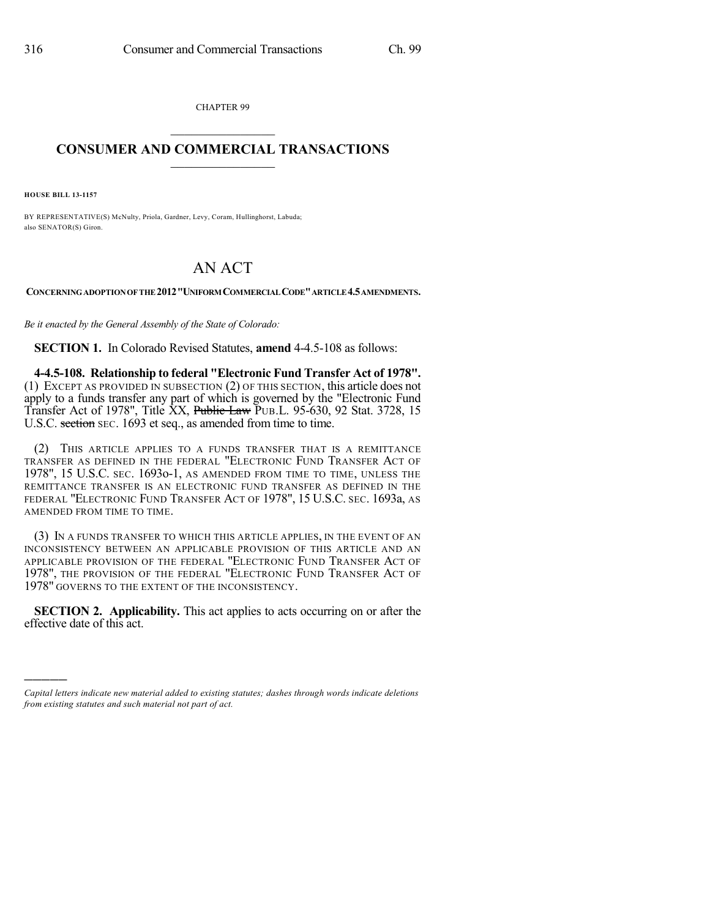CHAPTER 99  $\mathcal{L}_\text{max}$  . The set of the set of the set of the set of the set of the set of the set of the set of the set of the set of the set of the set of the set of the set of the set of the set of the set of the set of the set

## **CONSUMER AND COMMERCIAL TRANSACTIONS**  $\frac{1}{2}$  ,  $\frac{1}{2}$  ,  $\frac{1}{2}$  ,  $\frac{1}{2}$  ,  $\frac{1}{2}$  ,  $\frac{1}{2}$

**HOUSE BILL 13-1157**

)))))

BY REPRESENTATIVE(S) McNulty, Priola, Gardner, Levy, Coram, Hullinghorst, Labuda; also SENATOR(S) Giron.

## AN ACT

**CONCERNINGADOPTIONOF THE 2012"UNIFORM COMMERCIALCODE"ARTICLE4.5AMENDMENTS.**

*Be it enacted by the General Assembly of the State of Colorado:*

**SECTION 1.** In Colorado Revised Statutes, **amend** 4-4.5-108 as follows:

**4-4.5-108. Relationship to federal "Electronic Fund Transfer Act of 1978".** (1) EXCEPT AS PROVIDED IN SUBSECTION (2) OF THIS SECTION, this article does not apply to a funds transfer any part of which is governed by the "Electronic Fund Transfer Act of 1978", Title XX, Public Law PUB.L. 95-630, 92 Stat. 3728, 15 U.S.C. section SEC. 1693 et seq., as amended from time to time.

(2) THIS ARTICLE APPLIES TO A FUNDS TRANSFER THAT IS A REMITTANCE TRANSFER AS DEFINED IN THE FEDERAL "ELECTRONIC FUND TRANSFER ACT OF 1978", 15 U.S.C. SEC. 1693o-1, AS AMENDED FROM TIME TO TIME, UNLESS THE REMITTANCE TRANSFER IS AN ELECTRONIC FUND TRANSFER AS DEFINED IN THE FEDERAL "ELECTRONIC FUND TRANSFER ACT OF 1978", 15 U.S.C. SEC. 1693a, AS AMENDED FROM TIME TO TIME.

(3) IN A FUNDS TRANSFER TO WHICH THIS ARTICLE APPLIES, IN THE EVENT OF AN INCONSISTENCY BETWEEN AN APPLICABLE PROVISION OF THIS ARTICLE AND AN APPLICABLE PROVISION OF THE FEDERAL "ELECTRONIC FUND TRANSFER ACT OF 1978", THE PROVISION OF THE FEDERAL "ELECTRONIC FUND TRANSFER ACT OF 1978" GOVERNS TO THE EXTENT OF THE INCONSISTENCY.

**SECTION 2. Applicability.** This act applies to acts occurring on or after the effective date of this act.

*Capital letters indicate new material added to existing statutes; dashes through words indicate deletions from existing statutes and such material not part of act.*